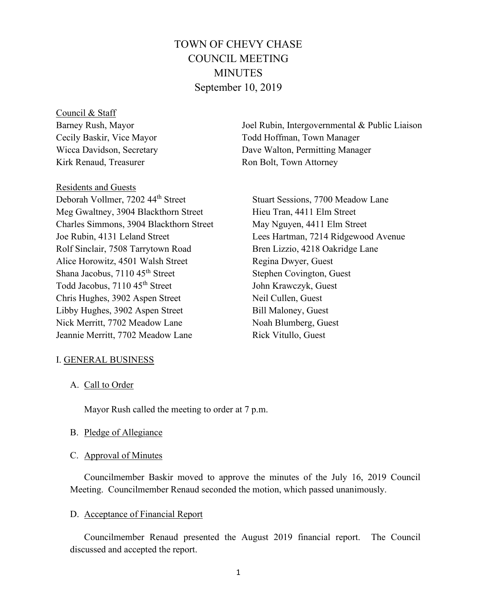# TOWN OF CHEVY CHASE COUNCIL MEETING MINUTES September 10, 2019

Council & Staff Barney Rush, Mayor Cecily Baskir, Vice Mayor Wicca Davidson, Secretary Kirk Renaud, Treasurer

Residents and Guests

Deborah Vollmer, 7202 44th Street Meg Gwaltney, 3904 Blackthorn Street Charles Simmons, 3904 Blackthorn Street Joe Rubin, 4131 Leland Street Rolf Sinclair, 7508 Tarrytown Road Alice Horowitz, 4501 Walsh Street Shana Jacobus, 7110 45<sup>th</sup> Street Todd Jacobus, 7110 45th Street Chris Hughes, 3902 Aspen Street Libby Hughes, 3902 Aspen Street Nick Merritt, 7702 Meadow Lane Jeannie Merritt, 7702 Meadow Lane

Joel Rubin, Intergovernmental & Public Liaison Todd Hoffman, Town Manager Dave Walton, Permitting Manager Ron Bolt, Town Attorney

Stuart Sessions, 7700 Meadow Lane Hieu Tran, 4411 Elm Street May Nguyen, 4411 Elm Street Lees Hartman, 7214 Ridgewood Avenue Bren Lizzio, 4218 Oakridge Lane Regina Dwyer, Guest Stephen Covington, Guest John Krawczyk, Guest Neil Cullen, Guest Bill Maloney, Guest Noah Blumberg, Guest Rick Vitullo, Guest

## I. GENERAL BUSINESS

A. Call to Order

Mayor Rush called the meeting to order at 7 p.m.

- B. Pledge of Allegiance
- C. Approval of Minutes

Councilmember Baskir moved to approve the minutes of the July 16, 2019 Council Meeting. Councilmember Renaud seconded the motion, which passed unanimously.

### D. Acceptance of Financial Report

Councilmember Renaud presented the August 2019 financial report. The Council discussed and accepted the report.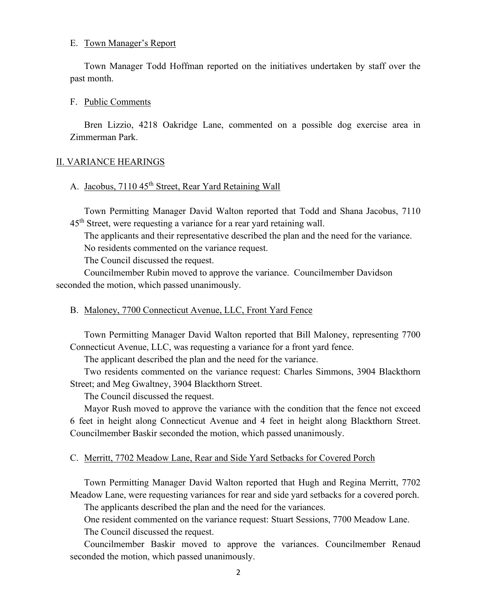## E. Town Manager's Report

Town Manager Todd Hoffman reported on the initiatives undertaken by staff over the past month.

## F. Public Comments

Bren Lizzio, 4218 Oakridge Lane, commented on a possible dog exercise area in Zimmerman Park.

## II. VARIANCE HEARINGS

## A. Jacobus, 7110 45<sup>th</sup> Street, Rear Yard Retaining Wall

Town Permitting Manager David Walton reported that Todd and Shana Jacobus, 7110  $45<sup>th</sup>$  Street, were requesting a variance for a rear yard retaining wall.

The applicants and their representative described the plan and the need for the variance.

No residents commented on the variance request.

The Council discussed the request.

Councilmember Rubin moved to approve the variance. Councilmember Davidson seconded the motion, which passed unanimously.

## B. Maloney, 7700 Connecticut Avenue, LLC, Front Yard Fence

Town Permitting Manager David Walton reported that Bill Maloney, representing 7700 Connecticut Avenue, LLC, was requesting a variance for a front yard fence.

The applicant described the plan and the need for the variance.

Two residents commented on the variance request: Charles Simmons, 3904 Blackthorn Street; and Meg Gwaltney, 3904 Blackthorn Street.

The Council discussed the request.

Mayor Rush moved to approve the variance with the condition that the fence not exceed 6 feet in height along Connecticut Avenue and 4 feet in height along Blackthorn Street. Councilmember Baskir seconded the motion, which passed unanimously.

## C. Merritt, 7702 Meadow Lane, Rear and Side Yard Setbacks for Covered Porch

Town Permitting Manager David Walton reported that Hugh and Regina Merritt, 7702 Meadow Lane, were requesting variances for rear and side yard setbacks for a covered porch.

The applicants described the plan and the need for the variances.

One resident commented on the variance request: Stuart Sessions, 7700 Meadow Lane. The Council discussed the request.

Councilmember Baskir moved to approve the variances. Councilmember Renaud seconded the motion, which passed unanimously.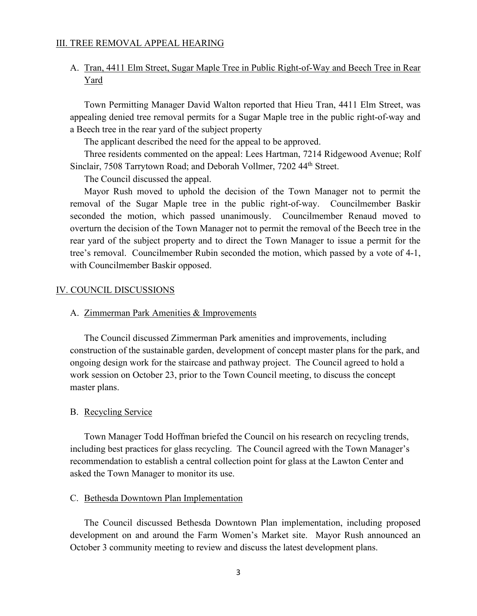## III. TREE REMOVAL APPEAL HEARING

# A. Tran, 4411 Elm Street, Sugar Maple Tree in Public Right-of-Way and Beech Tree in Rear Yard

Town Permitting Manager David Walton reported that Hieu Tran, 4411 Elm Street, was appealing denied tree removal permits for a Sugar Maple tree in the public right-of-way and a Beech tree in the rear yard of the subject property

The applicant described the need for the appeal to be approved.

Three residents commented on the appeal: Lees Hartman, 7214 Ridgewood Avenue; Rolf Sinclair, 7508 Tarrytown Road; and Deborah Vollmer, 7202 44<sup>th</sup> Street.

The Council discussed the appeal.

Mayor Rush moved to uphold the decision of the Town Manager not to permit the removal of the Sugar Maple tree in the public right-of-way. Councilmember Baskir seconded the motion, which passed unanimously. Councilmember Renaud moved to overturn the decision of the Town Manager not to permit the removal of the Beech tree in the rear yard of the subject property and to direct the Town Manager to issue a permit for the tree's removal. Councilmember Rubin seconded the motion, which passed by a vote of 4-1, with Councilmember Baskir opposed.

#### IV. COUNCIL DISCUSSIONS

## A. Zimmerman Park Amenities & Improvements

The Council discussed Zimmerman Park amenities and improvements, including construction of the sustainable garden, development of concept master plans for the park, and ongoing design work for the staircase and pathway project. The Council agreed to hold a work session on October 23, prior to the Town Council meeting, to discuss the concept master plans.

## B. Recycling Service

Town Manager Todd Hoffman briefed the Council on his research on recycling trends, including best practices for glass recycling. The Council agreed with the Town Manager's recommendation to establish a central collection point for glass at the Lawton Center and asked the Town Manager to monitor its use.

## C. Bethesda Downtown Plan Implementation

The Council discussed Bethesda Downtown Plan implementation, including proposed development on and around the Farm Women's Market site. Mayor Rush announced an October 3 community meeting to review and discuss the latest development plans.